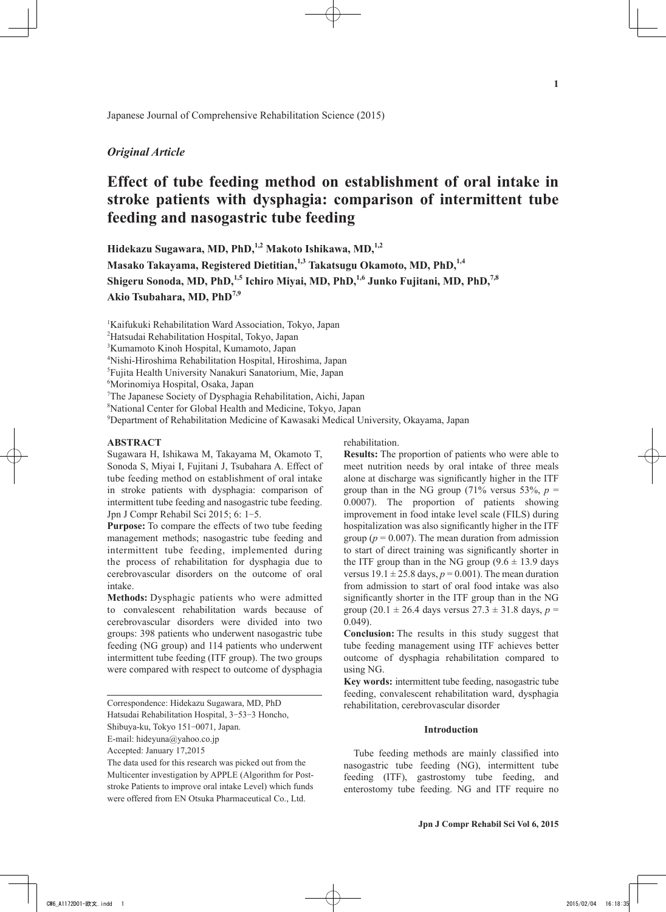Japanese Journal of Comprehensive Rehabilitation Science (2015)

# *Original Article*

# **Effect of tube feeding method on establishment of oral intake in stroke patients with dysphagia: comparison of intermittent tube feeding and nasogastric tube feeding**

**Hidekazu Sugawara, MD, PhD,1,2 Makoto Ishikawa, MD,1,2**

Masako Takayama, Registered Dietitian,<sup>1,3</sup> Takatsugu Okamoto, MD, PhD,<sup>1,4</sup> Shigeru Sonoda, MD, PhD,<sup>1,5</sup> Ichiro Miyai, MD, PhD,<sup>1,6</sup> Junko Fujitani, MD, PhD,<sup>7,8</sup> **Akio Tsubahara, MD, PhD7,9**

1 Kaifukuki Rehabilitation Ward Association, Tokyo, Japan

2 Hatsudai Rehabilitation Hospital, Tokyo, Japan

3 Kumamoto Kinoh Hospital, Kumamoto, Japan

4 Nishi-Hiroshima Rehabilitation Hospital, Hiroshima, Japan

5 Fujita Health University Nanakuri Sanatorium, Mie, Japan

6 Morinomiya Hospital, Osaka, Japan

7 The Japanese Society of Dysphagia Rehabilitation, Aichi, Japan

8 National Center for Global Health and Medicine, Tokyo, Japan

9 Department of Rehabilitation Medicine of Kawasaki Medical University, Okayama, Japan

# **ABSTRACT**

Sugawara H, Ishikawa M, Takayama M, Okamoto T, Sonoda S, Miyai I, Fujitani J, Tsubahara A. Effect of tube feeding method on establishment of oral intake in stroke patients with dysphagia: comparison of intermittent tube feeding and nasogastric tube feeding. Jpn J Compr Rehabil Sci 2015; 6: 1-5.

**Purpose:** To compare the effects of two tube feeding management methods; nasogastric tube feeding and intermittent tube feeding, implemented during the process of rehabilitation for dysphagia due to cerebrovascular disorders on the outcome of oral intake.

**Methods:** Dysphagic patients who were admitted to convalescent rehabilitation wards because of cerebrovascular disorders were divided into two groups: 398 patients who underwent nasogastric tube feeding (NG group) and 114 patients who underwent intermittent tube feeding (ITF group). The two groups were compared with respect to outcome of dysphagia

Hatsudai Rehabilitation Hospital, 3-53-3 Honcho,

Accepted: January 17,2015

The data used for this research was picked out from the Multicenter investigation by APPLE (Algorithm for Poststroke Patients to improve oral intake Level) which funds were offered from EN Otsuka Pharmaceutical Co., Ltd.

rehabilitation.

**Results:** The proportion of patients who were able to meet nutrition needs by oral intake of three meals alone at discharge was significantly higher in the ITF group than in the NG group (71% versus 53%,  $p =$ 0.0007). The proportion of patients showing improvement in food intake level scale (FILS) during hospitalization was also significantly higher in the ITF group ( $p = 0.007$ ). The mean duration from admission to start of direct training was significantly shorter in the ITF group than in the NG group  $(9.6 \pm 13.9)$  days versus  $19.1 \pm 25.8$  days,  $p = 0.001$ ). The mean duration from admission to start of oral food intake was also significantly shorter in the ITF group than in the NG group (20.1  $\pm$  26.4 days versus 27.3  $\pm$  31.8 days, *p* = 0.049).

**Conclusion:** The results in this study suggest that tube feeding management using ITF achieves better outcome of dysphagia rehabilitation compared to using NG.

**Key words:** intermittent tube feeding, nasogastric tube feeding, convalescent rehabilitation ward, dysphagia rehabilitation, cerebrovascular disorder

# **Introduction**

Tube feeding methods are mainly classified into nasogastric tube feeding (NG), intermittent tube feeding (ITF), gastrostomy tube feeding, and enterostomy tube feeding. NG and ITF require no

Correspondence: Hidekazu Sugawara, MD, PhD

Shibuya-ku, Tokyo 151-0071, Japan.

E-mail: hideyuna@yahoo.co.jp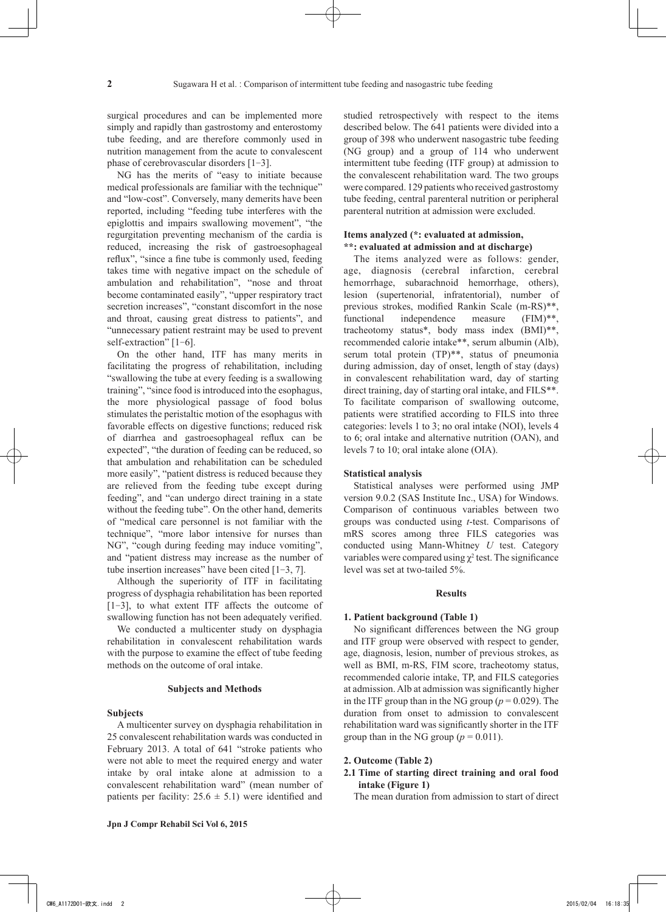surgical procedures and can be implemented more simply and rapidly than gastrostomy and enterostomy tube feeding, and are therefore commonly used in nutrition management from the acute to convalescent phase of cerebrovascular disorders [1-3].

NG has the merits of "easy to initiate because medical professionals are familiar with the technique" and "low-cost". Conversely, many demerits have been reported, including "feeding tube interferes with the epiglottis and impairs swallowing movement", "the regurgitation preventing mechanism of the cardia is reduced, increasing the risk of gastroesophageal reflux", "since a fine tube is commonly used, feeding takes time with negative impact on the schedule of ambulation and rehabilitation", "nose and throat become contaminated easily", "upper respiratory tract secretion increases", "constant discomfort in the nose and throat, causing great distress to patients", and "unnecessary patient restraint may be used to prevent self-extraction" [1-6].

On the other hand, ITF has many merits in facilitating the progress of rehabilitation, including "swallowing the tube at every feeding is a swallowing training", "since food is introduced into the esophagus, the more physiological passage of food bolus stimulates the peristaltic motion of the esophagus with favorable effects on digestive functions; reduced risk of diarrhea and gastroesophageal reflux can be expected", "the duration of feeding can be reduced, so that ambulation and rehabilitation can be scheduled more easily", "patient distress is reduced because they are relieved from the feeding tube except during feeding", and "can undergo direct training in a state without the feeding tube". On the other hand, demerits of "medical care personnel is not familiar with the technique", "more labor intensive for nurses than NG", "cough during feeding may induce vomiting", and "patient distress may increase as the number of tube insertion increases" have been cited [1-3, 7].

Although the superiority of ITF in facilitating progress of dysphagia rehabilitation has been reported [1-3], to what extent ITF affects the outcome of swallowing function has not been adequately verified.

We conducted a multicenter study on dysphagia rehabilitation in convalescent rehabilitation wards with the purpose to examine the effect of tube feeding methods on the outcome of oral intake.

#### **Subjects and Methods**

#### **Subjects**

A multicenter survey on dysphagia rehabilitation in 25 convalescent rehabilitation wards was conducted in February 2013. A total of 641 "stroke patients who were not able to meet the required energy and water intake by oral intake alone at admission to a convalescent rehabilitation ward" (mean number of patients per facility:  $25.6 \pm 5.1$ ) were identified and studied retrospectively with respect to the items described below. The 641 patients were divided into a group of 398 who underwent nasogastric tube feeding (NG group) and a group of 114 who underwent intermittent tube feeding (ITF group) at admission to the convalescent rehabilitation ward. The two groups were compared. 129 patients who received gastrostomy tube feeding, central parenteral nutrition or peripheral parenteral nutrition at admission were excluded.

# **Items analyzed (\*: evaluated at admission, \*\*: evaluated at admission and at discharge)**

The items analyzed were as follows: gender, age, diagnosis (cerebral infarction, cerebral hemorrhage, subarachnoid hemorrhage, others), lesion (supertenorial, infratentorial), number of previous strokes, modified Rankin Scale (m-RS)\*\*, functional independence measure (FIM)\*\*, tracheotomy status\*, body mass index (BMI)\*\*, recommended calorie intake\*\*, serum albumin (Alb), serum total protein (TP)\*\*, status of pneumonia during admission, day of onset, length of stay (days) in convalescent rehabilitation ward, day of starting direct training, day of starting oral intake, and FILS\*\*. To facilitate comparison of swallowing outcome, patients were stratified according to FILS into three categories: levels 1 to 3; no oral intake (NOI), levels 4 to 6; oral intake and alternative nutrition (OAN), and levels 7 to 10; oral intake alone (OIA).

## **Statistical analysis**

Statistical analyses were performed using JMP version 9.0.2 (SAS Institute Inc., USA) for Windows. Comparison of continuous variables between two groups was conducted using *t*-test. Comparisons of mRS scores among three FILS categories was conducted using Mann-Whitney *U* test. Category variables were compared using  $\chi^2$  test. The significance level was set at two-tailed 5%.

## **Results**

#### **1. Patient background (Table 1)**

No significant differences between the NG group and ITF group were observed with respect to gender, age, diagnosis, lesion, number of previous strokes, as well as BMI, m-RS, FIM score, tracheotomy status, recommended calorie intake, TP, and FILS categories at admission. Alb at admission was significantly higher in the ITF group than in the NG group ( $p = 0.029$ ). The duration from onset to admission to convalescent rehabilitation ward was significantly shorter in the ITF group than in the NG group ( $p = 0.011$ ).

#### **2. Outcome (Table 2)**

**2.1 Time of starting direct training and oral food intake (Figure 1)**

The mean duration from admission to start of direct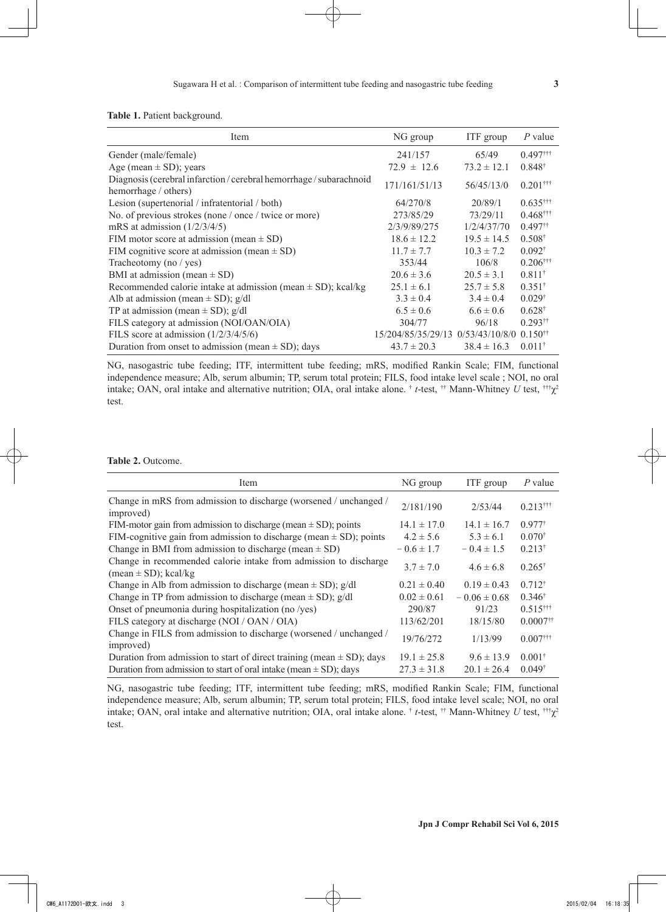|  |  | <b>Table 1.</b> Patient background. |
|--|--|-------------------------------------|
|--|--|-------------------------------------|

| Item                                                                                    | NG group                          | ITF group       | $P$ value              |
|-----------------------------------------------------------------------------------------|-----------------------------------|-----------------|------------------------|
| Gender (male/female)                                                                    | 241/157                           | 65/49           | $0.497$ <sup>†††</sup> |
| Age (mean $\pm$ SD); years                                                              | $72.9 \pm 12.6$                   | $73.2 \pm 12.1$ | $0.848^{\dagger}$      |
| Diagnosis (cerebral infarction/cerebral hemorrhage/subarachnoid<br>hemorrhage / others) | 171/161/51/13                     | 56/45/13/0      | $0.201$ <sup>†††</sup> |
| Lesion (supertenorial / infratentorial / both)                                          | 64/270/8                          | 20/89/1         | $0.635$ <sup>†††</sup> |
| No. of previous strokes (none / once / twice or more)                                   | 273/85/29                         | 73/29/11        | $0.468$ <sup>†††</sup> |
| mRS at admission $(1/2/3/4/5)$                                                          | 2/3/9/89/275                      | 1/2/4/37/70     | $0.497$ <sup>††</sup>  |
| FIM motor score at admission (mean $\pm$ SD)                                            | $18.6 \pm 12.2$                   | $19.5 \pm 14.5$ | $0.508^{\dagger}$      |
| FIM cognitive score at admission (mean $\pm$ SD)                                        | $11.7 \pm 7.7$                    | $10.3 \pm 7.2$  | $0.092^{\dagger}$      |
| Tracheotomy (no / yes)                                                                  | 353/44                            | 106/8           | $0.206$ <sup>†††</sup> |
| BMI at admission (mean $\pm$ SD)                                                        | $20.6 \pm 3.6$                    | $20.5 \pm 3.1$  | $0.811^{+}$            |
| Recommended calorie intake at admission (mean $\pm$ SD); kcal/kg                        | $25.1 \pm 6.1$                    | $25.7 \pm 5.8$  | $0.351^*$              |
| Alb at admission (mean $\pm$ SD); g/dl                                                  | $3.3 \pm 0.4$                     | $3.4 \pm 0.4$   | $0.029^{\dagger}$      |
| TP at admission (mean $\pm$ SD); g/dl                                                   | $6.5 \pm 0.6$                     | $6.6 \pm 0.6$   | $0.628^{\dagger}$      |
| FILS category at admission (NOI/OAN/OIA)                                                | 304/77                            | 96/18           | $0.293$ <sup>††</sup>  |
| FILS score at admission $(1/2/3/4/5/6)$                                                 | 15/204/85/35/29/13 0/53/43/10/8/0 |                 | $0.150^{+1}$           |
| Duration from onset to admission (mean $\pm$ SD); days                                  | $43.7 \pm 20.3$                   | $38.4 \pm 16.3$ | $0.011^*$              |

NG, nasogastric tube feeding; ITF, intermittent tube feeding; mRS, modified Rankin Scale; FIM, functional independence measure; Alb, serum albumin; TP, serum total protein; FILS, food intake level scale ; NOI, no oral intake; OAN, oral intake and alternative nutrition; OIA, oral intake alone. † *t*-test, †† Mann-Whitney *U* test, †††χ<sup>2</sup> test.

**Table 2.** Outcome.

| Item                                                                                          | NG group        | ITF group        | $P$ value              |
|-----------------------------------------------------------------------------------------------|-----------------|------------------|------------------------|
| Change in mRS from admission to discharge (worsened / unchanged /<br>improved)                | 2/181/190       | 2/53/44          | $0.213$ <sup>†††</sup> |
| FIM-motor gain from admission to discharge (mean $\pm$ SD); points                            | $14.1 \pm 17.0$ | $14.1 \pm 16.7$  | $0.977^{\dagger}$      |
| FIM-cognitive gain from admission to discharge (mean $\pm$ SD); points                        | $4.2 \pm 5.6$   | $5.3 \pm 6.1$    | $0.070^{*}$            |
| Change in BMI from admission to discharge (mean $\pm$ SD)                                     | $-0.6 \pm 1.7$  | $-0.4 \pm 1.5$   | $0.213^{\dagger}$      |
| Change in recommended calorie intake from admission to discharge<br>$(mean \pm SD)$ ; kcal/kg | $3.7 \pm 7.0$   | $4.6 \pm 6.8$    | $0.265^{\dagger}$      |
| Change in Alb from admission to discharge (mean $\pm$ SD); g/dl                               | $0.21 \pm 0.40$ | $0.19 \pm 0.43$  | $0.712^{\dagger}$      |
| Change in TP from admission to discharge (mean $\pm$ SD); g/dl                                | $0.02 \pm 0.61$ | $-0.06 \pm 0.68$ | $0.346^{\dagger}$      |
| Onset of pneumonia during hospitalization (no /yes)                                           | 290/87          | 91/23            | $0.515$ <sup>†††</sup> |
| FILS category at discharge (NOI / OAN / OIA)                                                  | 113/62/201      | 18/15/80         | $0.0007$ <sup>††</sup> |
| Change in FILS from admission to discharge (worsened / unchanged /<br>improved)               | 19/76/272       | 1/13/99          | $0.007$ <sup>†††</sup> |
| Duration from admission to start of direct training (mean $\pm$ SD); days                     | $19.1 \pm 25.8$ | $9.6 \pm 13.9$   | $0.001$ <sup>†</sup>   |
| Duration from admission to start of oral intake (mean $\pm$ SD); days                         | $27.3 \pm 31.8$ | $20.1 \pm 26.4$  | $0.049^{\dagger}$      |

NG, nasogastric tube feeding; ITF, intermittent tube feeding; mRS, modified Rankin Scale; FIM, functional independence measure; Alb, serum albumin; TP, serum total protein; FILS, food intake level scale; NOI, no oral intake; OAN, oral intake and alternative nutrition; OIA, oral intake alone. † *t*-test, †† Mann-Whitney *U* test, †††χ<sup>2</sup> test.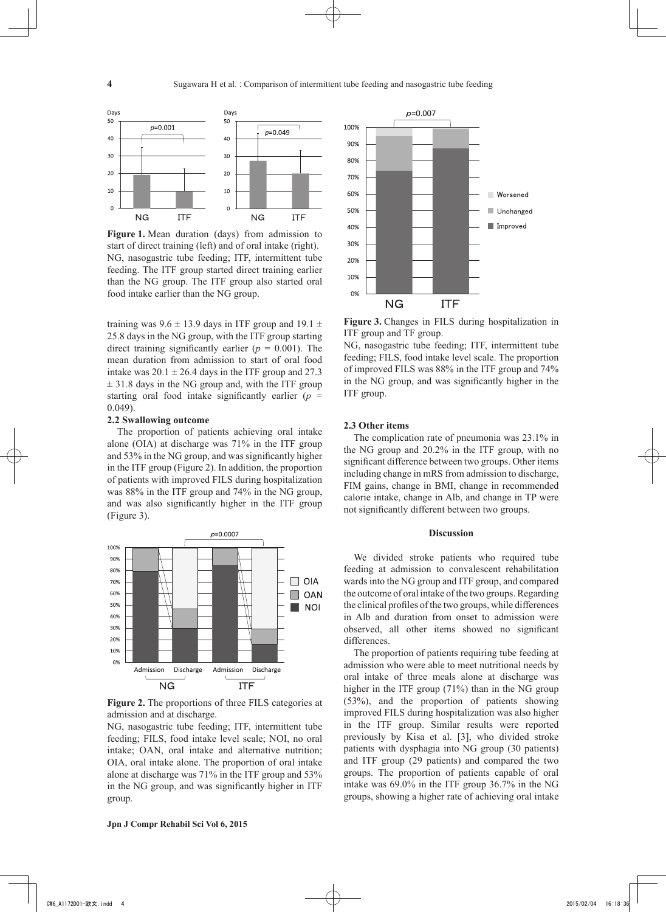

**Figure 1.** Mean duration (days) from admission to start of direct training (left) and of oral intake (right). NG, nasogastric tube feeding; ITF, intermittent tube feeding. The ITF group started direct training earlier than the NG group. The ITF group also started oral food intake earlier than the NG group.

training was  $9.6 \pm 13.9$  days in ITF group and  $19.1 \pm$ 25.8 days in the NG group, with the ITF group starting direct training significantly earlier  $(p = 0.001)$ . The mean duration from admission to start of oral food intake was  $20.1 \pm 26.4$  days in the ITF group and 27.3  $\pm$  31.8 days in the NG group and, with the ITF group starting oral food intake significantly earlier  $(p =$ 0.049).

#### **2.2 Swallowing outcome**

The proportion of patients achieving oral intake alone (OIA) at discharge was 71% in the ITF group and 53% in the NG group, and was significantly higher in the ITF group (Figure 2). In addition, the proportion of patients with improved FILS during hospitalization was 88% in the ITF group and 74% in the NG group, and was also significantly higher in the ITF group (Figure 3).



**Figure 2.** The proportions of three FILS categories at admission and at discharge.

NG, nasogastric tube feeding; ITF, intermittent tube feeding; FILS, food intake level scale; NOI, no oral intake; OAN, oral intake and alternative nutrition; OIA, oral intake alone. The proportion of oral intake alone at discharge was 71% in the ITF group and 53% in the NG group, and was significantly higher in ITF group.



**Figure 3.** Changes in FILS during hospitalization in ITF group and TF group.

NG, nasogastric tube feeding; ITF, intermittent tube feeding; FILS, food intake level scale. The proportion of improved FILS was 88% in the ITF group and 74% in the NG group, and was significantly higher in the ITF group.

# **2.3 Other items**

The complication rate of pneumonia was 23.1% in the NG group and 20.2% in the ITF group, with no significant difference between two groups. Other items including change in mRS from admission to discharge, FIM gains, change in BMI, change in recommended calorie intake, change in Alb, and change in TP were not significantly different between two groups.

#### **Discussion**

We divided stroke patients who required tube feeding at admission to convalescent rehabilitation wards into the NG group and ITF group, and compared the outcome of oral intake of the two groups. Regarding the clinical profiles of the two groups, while differences in Alb and duration from onset to admission were observed, all other items showed no significant differences.

The proportion of patients requiring tube feeding at admission who were able to meet nutritional needs by oral intake of three meals alone at discharge was higher in the ITF group (71%) than in the NG group (53%), and the proportion of patients showing improved FILS during hospitalization was also higher in the ITF group. Similar results were reported previously by Kisa et al. [3], who divided stroke patients with dysphagia into NG group (30 patients) and ITF group (29 patients) and compared the two groups. The proportion of patients capable of oral intake was 69.0% in the ITF group 36.7% in the NG groups, showing a higher rate of achieving oral intake